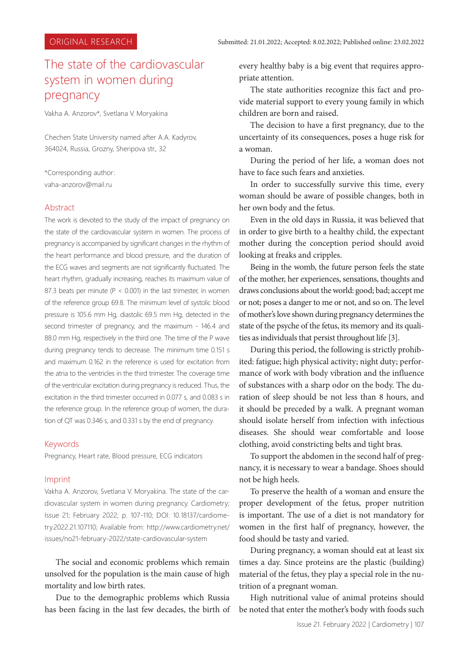# The state of the cardiovascular system in women during pregnancy

Vakha A. Anzorov\*, Svetlana V. Moryakina

Chechen State University named after A.A. Kadyrov, 364024, Russia, Grozny, Sheripova str., 32

\*Corresponding author: vaha-anzorov@mail.ru

## **Abstract**

The work is devoted to the study of the impact of pregnancy on the state of the cardiovascular system in women. The process of pregnancy is accompanied by significant changes in the rhythm of the heart performance and blood pressure, and the duration of the ECG waves and segments are not significantly fluctuated. The heart rhythm, gradually increasing, reaches its maximum value of 87.3 beats per minute ( $P < 0.001$ ) in the last trimester, in women of the reference group 69.8. The minimum level of systolic blood pressure is 105.6 mm Hg, diastolic 69.5 mm Hg, detected in the second trimester of pregnancy, and the maximum - 146.4 and 88.0 mm Hg, respectively in the third one. The time of the P wave during pregnancy tends to decrease. The minimum time 0.151 s and maximum 0.162 in the reference is used for excitation from the atria to the ventricles in the third trimester. The coverage time of the ventricular excitation during pregnancy is reduced. Thus, the excitation in the third trimester occurred in 0.077 s, and 0.083 s in the reference group. In the reference group of women, the duration of QT was 0.346 s, and 0.331 s by the end of pregnancy.

## Keywords

Pregnancy, Heart rate, Blood pressure, ECG indicators

## Imprint

Vakha A. Anzorov, Svetlana V. Moryakina. The state of the cardiovascular system in women during pregnancy. Cardiometry; Issue 21; February 2022; p. 107-110; DOI: 10.18137/cardiometry.2022.21.107110; Available from: http://www.cardiometry.net/ issues/no21-february-2022/state-cardiovascular-system

The social and economic problems which remain unsolved for the population is the main cause of high mortality and low birth rates.

Due to the demographic problems which Russia has been facing in the last few decades, the birth of every healthy baby is a big event that requires appropriate attention.

The state authorities recognize this fact and provide material support to every young family in which children are born and raised.

The decision to have a first pregnancy, due to the uncertainty of its consequences, poses a huge risk for a woman.

During the period of her life, a woman does not have to face such fears and anxieties.

In order to successfully survive this time, every woman should be aware of possible changes, both in her own body and the fetus.

Even in the old days in Russia, it was believed that in order to give birth to a healthy child, the expectant mother during the conception period should avoid looking at freaks and cripples.

Being in the womb, the future person feels the state of the mother, her experiences, sensations, thoughts and draws conclusions about the world: good; bad; accept me or not; poses a danger to me or not, and so on. The level of mother's love shown during pregnancy determines the state of the psyche of the fetus, its memory and its qualities as individuals that persist throughout life [3].

During this period, the following is strictly prohibited: fatigue; high physical activity; night duty; performance of work with body vibration and the influence of substances with a sharp odor on the body. The duration of sleep should be not less than 8 hours, and it should be preceded by a walk. A pregnant woman should isolate herself from infection with infectious diseases. She should wear comfortable and loose clothing, avoid constricting belts and tight bras.

To support the abdomen in the second half of pregnancy, it is necessary to wear a bandage. Shoes should not be high heels.

To preserve the health of a woman and ensure the proper development of the fetus, proper nutrition is important. The use of a diet is not mandatory for women in the first half of pregnancy, however, the food should be tasty and varied.

During pregnancy, a woman should eat at least six times a day. Since proteins are the plastic (building) material of the fetus, they play a special role in the nutrition of a pregnant woman.

High nutritional value of animal proteins should be noted that enter the mother's body with foods such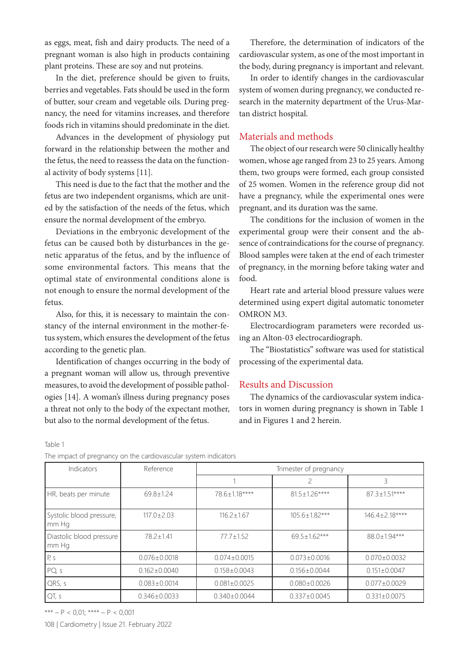as eggs, meat, fish and dairy products. The need of a pregnant woman is also high in products containing plant proteins. These are soy and nut proteins.

In the diet, preference should be given to fruits, berries and vegetables. Fats should be used in the form of butter, sour cream and vegetable oils. During pregnancy, the need for vitamins increases, and therefore foods rich in vitamins should predominate in the diet.

Advances in the development of physiology put forward in the relationship between the mother and the fetus, the need to reassess the data on the functional activity of body systems [11].

This need is due to the fact that the mother and the fetus are two independent organisms, which are united by the satisfaction of the needs of the fetus, which ensure the normal development of the embryo.

Deviations in the embryonic development of the fetus can be caused both by disturbances in the genetic apparatus of the fetus, and by the influence of some environmental factors. This means that the optimal state of environmental conditions alone is not enough to ensure the normal development of the fetus.

Also, for this, it is necessary to maintain the constancy of the internal environment in the mother-fetus system, which ensures the development of the fetus according to the genetic plan.

Identification of changes occurring in the body of a pregnant woman will allow us, through preventive measures, to avoid the development of possible pathologies [14]. A woman's illness during pregnancy poses a threat not only to the body of the expectant mother, but also to the normal development of the fetus.

Table 1

The impact of pregnancy on the cardiovascular system indicators

Therefore, the determination of indicators of the cardiovascular system, as one of the most important in the body, during pregnancy is important and relevant.

In order to identify changes in the cardiovascular system of women during pregnancy, we conducted research in the maternity department of the Urus-Martan district hospital.

# Materials and methods

The object of our research were 50 clinically healthy women, whose age ranged from 23 to 25 years. Among them, two groups were formed, each group consisted of 25 women. Women in the reference group did not have a pregnancy, while the experimental ones were pregnant, and its duration was the same.

The conditions for the inclusion of women in the experimental group were their consent and the absence of contraindications for the course of pregnancy. Blood samples were taken at the end of each trimester of pregnancy, in the morning before taking water and food.

Heart rate and arterial blood pressure values were determined using expert digital automatic tonometer OMRON M3.

Electrocardiogram parameters were recorded using an Alton-03 electrocardiograph.

The "Biostatistics" software was used for statistical processing of the experimental data.

#### Results and Discussion

The dynamics of the cardiovascular system indicators in women during pregnancy is shown in Table 1 and in Figures 1 and 2 herein.

| Indicators                        | Reference          | Trimester of pregnancy |                     |                    |
|-----------------------------------|--------------------|------------------------|---------------------|--------------------|
|                                   |                    |                        | 2                   | 3                  |
| HR, beats per minute              | $69.8 \pm 1.24$    | 78.6±1.18****          | $81.5 \pm 1.26***$  | $87.3 \pm 1.51***$ |
| Systolic blood pressure,<br>mm Hq | $117.0 \pm 2.03$   | $116.2 \pm 1.67$       | $105.6 \pm 1.82***$ | 146.4±2.18****     |
| Diastolic blood pressure<br>mm Hg | 78.2±1.41          | $77.7 \pm 1.52$        | $69.5 \pm 1.62***$  | 88.0±1.94***       |
| P, S                              | $0.076 \pm 0.0018$ | $0.074 \pm 0.0015$     | $0.073 \pm 0.0016$  | $0.070 \pm 0.0032$ |
| PQ, s                             | $0.162 \pm 0.0040$ | $0.158 \pm 0.0043$     | $0.156 \pm 0.0044$  | $0.151 \pm 0.0047$ |
| QRS, s                            | $0.083 \pm 0.0014$ | $0.081 \pm 0.0025$     | $0.080 \pm 0.0026$  | $0.077 \pm 0.0029$ |
| QT, s                             | $0.346 \pm 0.0033$ | $0.340 \pm 0.0044$     | $0.337 \pm 0.0045$  | $0.331 \pm 0.0075$ |

\*\*\* – P < 0,01; \*\*\*\* – P < 0,001

108 | Cardiometry | Issue 21. February 2022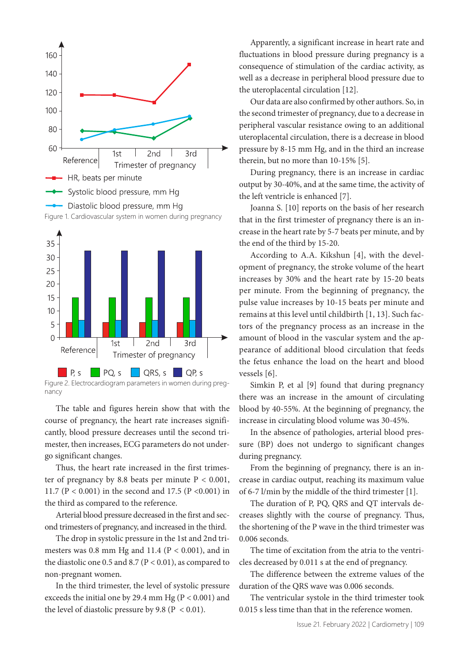



nancy

The table and figures herein show that with the course of pregnancy, the heart rate increases significantly, blood pressure decreases until the second trimester, then increases, ECG parameters do not undergo significant changes.

Thus, the heart rate increased in the first trimester of pregnancy by 8.8 beats per minute  $P < 0.001$ , 11.7 ( $P < 0.001$ ) in the second and 17.5 ( $P < 0.001$ ) in the third as compared to the reference.

Arterial blood pressure decreased in the first and second trimesters of pregnancy, and increased in the third.

The drop in systolic pressure in the 1st and 2nd trimesters was  $0.8$  mm Hg and  $11.4$  ( $P < 0.001$ ), and in the diastolic one 0.5 and 8.7 ( $P < 0.01$ ), as compared to non-pregnant women.

In the third trimester, the level of systolic pressure exceeds the initial one by 29.4 mm Hg (P < 0.001) and the level of diastolic pressure by 9.8 ( $P < 0.01$ ).

Apparently, a significant increase in heart rate and fluctuations in blood pressure during pregnancy is a consequence of stimulation of the cardiac activity, as well as a decrease in peripheral blood pressure due to the uteroplacental circulation [12].

Our data are also confirmed by other authors. So, in the second trimester of pregnancy, due to a decrease in peripheral vascular resistance owing to an additional uteroplacental circulation, there is a decrease in blood pressure by 8-15 mm Hg, and in the third an increase therein, but no more than 10-15% [5].

During pregnancy, there is an increase in cardiac output by 30-40%, and at the same time, the activity of the left ventricle is enhanced [7].

Joanna S. [10] reports on the basis of her research that in the first trimester of pregnancy there is an increase in the heart rate by 5-7 beats per minute, and by the end of the third by 15-20.

According to A.A. Kikshun [4], with the development of pregnancy, the stroke volume of the heart increases by 30% and the heart rate by 15-20 beats per minute. From the beginning of pregnancy, the pulse value increases by 10-15 beats per minute and remains at this level until childbirth [1, 13]. Such factors of the pregnancy process as an increase in the amount of blood in the vascular system and the appearance of additional blood circulation that feeds the fetus enhance the load on the heart and blood vessels [6].

Simkin P, et al [9] found that during pregnancy there was an increase in the amount of circulating blood by 40-55%. At the beginning of pregnancy, the increase in circulating blood volume was 30-45%.

In the absence of pathologies, arterial blood pressure (BP) does not undergo to significant changes during pregnancy.

From the beginning of pregnancy, there is an increase in cardiac output, reaching its maximum value of 6-7 l/min by the middle of the third trimester [1].

The duration of P, PQ, QRS and QT intervals decreases slightly with the course of pregnancy. Thus, the shortening of the P wave in the third trimester was 0.006 seconds.

The time of excitation from the atria to the ventricles decreased by 0.011 s at the end of pregnancy.

The difference between the extreme values of the duration of the QRS wave was 0.006 seconds.

The ventricular systole in the third trimester took 0.015 s less time than that in the reference women.